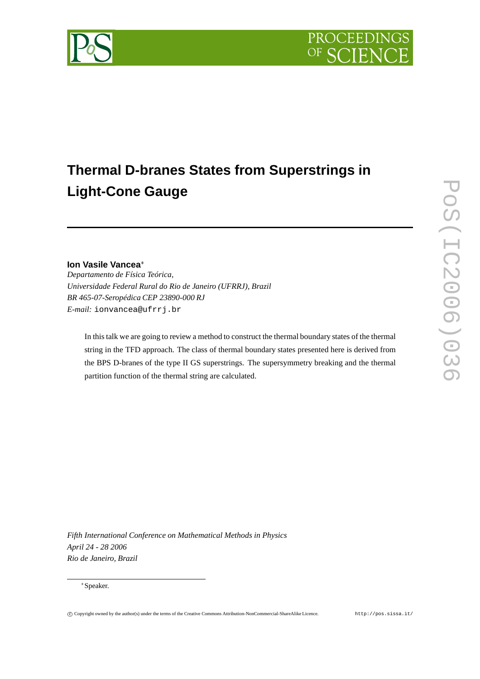

# **Thermal D-branes States from Superstrings in Light-Cone Gauge**

# **Ion Vasile Vancea**

*Departamento de Física Teórica, Universidade Federal Rural do Rio de Janeiro (UFRRJ), Brazil BR 465-07-Seropédica CEP 23890-000 RJ E-mail:* ionvancea@ufrrj.br

In this talk we are going to review a method to construct the thermal boundary states of the thermal string in the TFD approach. The class of thermal boundary states presented here is derived from the BPS D-branes of the type II GS superstrings. The supersymmetry breaking and the thermal partition function of the thermal string are calculated.

*Fifth International Conference on Mathematical Methods in Physics April 24 - 28 2006 Rio de Janeiro, Brazil*

#### Speaker.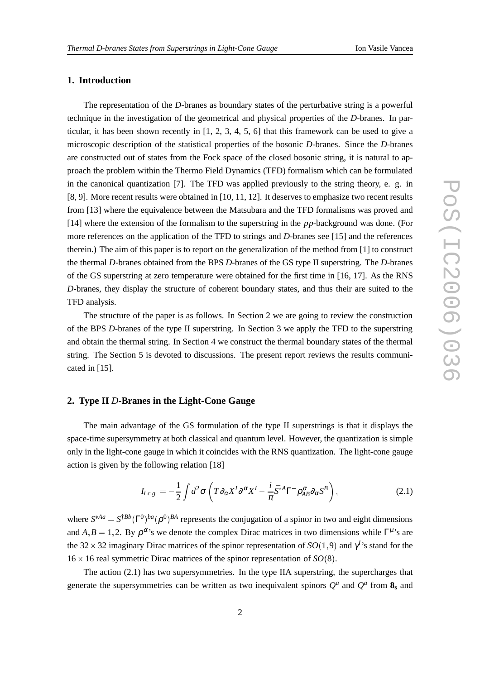### **1. Introduction**

The representation of the *D*-branes as boundary states of the perturbative string is a powerful technique in the investigation of the geometrical and physical properties of the *D*-branes. In particular, it has been shown recently in [1, 2, 3, 4, 5, 6] that this framework can be used to give a microscopic description of the statistical properties of the bosonic *D*-branes. Since the *D*-branes are constructed out of states from the Fock space of the closed bosonic string, it is natural to approach the problem within the Thermo Field Dynamics (TFD) formalism which can be formulated in the canonical quantization [7]. The TFD was applied previously to the string theory, e. g. in [8, 9]. More recent results were obtained in [10, 11, 12]. It deserves to emphasize two recent results from [13] where the equivalence between the Matsubara and the TFD formalisms was proved and [14] where the extension of the formalism to the superstring in the *pp*-background was done. (For more references on the application of the TFD to strings and *D*-branes see [15] and the references therein.) The aim of this paper is to report on the generalization of the method from [1] to construct the thermal *D*-branes obtained from the BPS *D*-branes of the GS type II superstring. The *D*-branes of the GS superstring at zero temperature were obtained for the first time in [16, 17]. As the RNS *D*-branes, they display the structure of coherent boundary states, and thus their are suited to the TFD analysis.

The structure of the paper is as follows. In Section 2 we are going to review the construction of the BPS *D*-branes of the type II superstring. In Section 3 we apply the TFD to the superstring and obtain the thermal string. In Section 4 we construct the thermal boundary states of the thermal string. The Section 5 is devoted to discussions. The present report reviews the results communicated in [15].

# **2. Type II** *D***-Branes in the Light-Cone Gauge**

The main advantage of the GS formulation of the type II superstrings is that it displays the space-time supersymmetry at both classical and quantum level. However, the quantization is simple only in the light-cone gauge in which it coincides with the RNS quantization. The light-cone gauge action is given by the following relation [18]

$$
I_{l.c.g.} = -\frac{1}{2} \int d^2 \sigma \left( T \partial_\alpha X^I \partial^\alpha X^I - \frac{i}{\pi} \bar{S}^{*A} \Gamma^- \rho_{AB}^\alpha \partial_\alpha S^B \right), \tag{2.1}
$$

where  $S^{*Aa} = S^{*Bb}(\Gamma^0)^{ba}(\rho^0)^{BA}$  represents the conjugation of a spinor in two and eight dimensions and  $A, B = 1, 2$ . By  $\rho^{\alpha}$ 's we denote the complex Dirac matrices in two dimensions while  $\Gamma^{\mu}$ 's are the 32  $\times$  32 imaginary Dirac matrices of the spinor representation of *SO*(1,9) and  $\gamma$ <sup>*I*</sup>'s stand for the  $16 \times 16$  real symmetric Dirac matrices of the spinor representation of  $SO(8)$ .

The action (2.1) has two supersymmetries. In the type IIA superstring, the supercharges that generate the supersymmetries can be written as two inequivalent spinors  $Q^a$  and  $Q^{\dot{a}}$  from  $\mathbf{8}_s$  and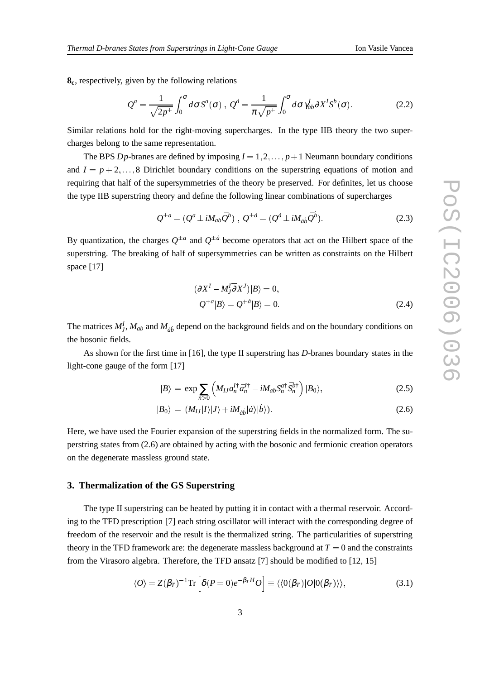**8c**, respectively, given by the following relations

$$
Q^{a} = \frac{1}{\sqrt{2p^{+}}} \int_{0}^{\sigma} d\sigma S^{a}(\sigma) , Q^{a} = \frac{1}{\pi \sqrt{p^{+}}} \int_{0}^{\sigma} d\sigma \gamma_{ab}^{I} \partial X^{I} S^{b}(\sigma).
$$
 (2.2)

Similar relations hold for the right-moving supercharges. In the type IIB theory the two supercharges belong to the same representation.

The BPS *D<sub>p</sub>*-branes are defined by imposing  $I = 1, 2, \ldots, p+1$  Neumann boundary conditions and  $I = p + 2, \ldots, 8$  Dirichlet boundary conditions on the superstring equations of motion and requiring that half of the supersymmetries of the theory be preserved. For definites, let us choose the type IIB superstring theory and define the following linear combinations of supercharges

$$
Q^{\pm a} = (Q^a \pm iM_{ab}\bar{Q}^b) , \ Q^{\pm a} = (Q^a \pm iM_{\dot{a}\dot{b}}\bar{Q}^b).
$$
 (2.3)

By quantization, the charges  $Q^{\pm a}$  and  $Q^{\pm \dot{a}}$  become operators that act on the Hilbert space of the superstring. The breaking of half of supersymmetries can be written as constraints on the Hilbert space [17]

$$
(\partial X^{I} - M_{J}^{I} \overline{\partial} X^{J})|B\rangle = 0,
$$
  

$$
Q^{+a}|B\rangle = Q^{+a}|B\rangle = 0.
$$
 (2.4)

The matrices  $M_J^I$ ,  $M_{ab}$  and  $M_{\dot a\dot b}$  depend on the background fields and on the boundary conditions on the bosonic fields.

As shown for the first time in [16], the type II superstring has *D*-branes boundary states in the light-cone gauge of the form [17]

$$
|B\rangle = \exp \sum_{n>0} \left( M_{IJ} a_n^{I\dagger} \bar{a}_n^{J\dagger} - i M_{ab} S_n^{a\dagger} \bar{S}_n^{b\dagger} \right) |B_0\rangle, \tag{2.5}
$$

$$
|B_0\rangle = (M_{IJ}|I\rangle|J\rangle + iM_{\dot{a}\dot{b}}|\dot{a}\rangle|\dot{b}\rangle). \tag{2.6}
$$

Here, we have used the Fourier expansion of the superstring fields in the normalized form. The superstring states from (2.6) are obtained by acting with the bosonic and fermionic creation operators on the degenerate massless ground state.

## **3. Thermalization of the GS Superstring**

The type II superstring can be heated by putting it in contact with a thermal reservoir. According to the TFD prescription [7] each string oscillator will interact with the corresponding degree of freedom of the reservoir and the result is the thermalized string. The particularities of superstring theory in the TFD framework are: the degenerate massless background at  $T = 0$  and the constraints from the Virasoro algebra. Therefore, the TFD ansatz [7] should be modified to [12, 15]

$$
\langle O \rangle = Z(\beta_T)^{-1} \text{Tr} \left[ \delta(P=0) e^{-\beta_T H} O \right] \equiv \langle \langle 0(\beta_T) | O | 0(\beta_T) \rangle \rangle, \tag{3.1}
$$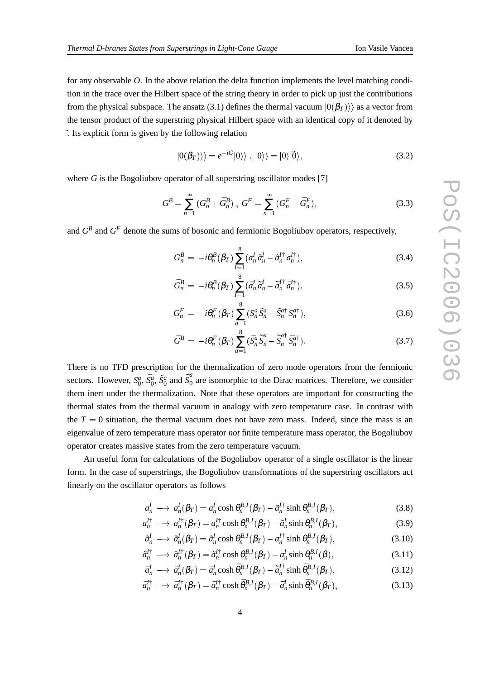for any observable *O*. In the above relation the delta function implements the level matching condition in the trace over the Hilbert space of the string theory in order to pick up just the contributions from the physical subspace. The ansatz (3.1) defines the thermal vacuum  $|0(\beta_T)\rangle$  as a vector from the tensor product of the superstring physical Hilbert space with an identical copy of it denoted by ˜. Its explicit form is given by the following relation

$$
|0(\beta_T)\rangle\rangle = e^{-iG}|0\rangle\rangle \ , \ |0\rangle\rangle = |0\rangle|\tilde{0}\rangle, \tag{3.2}
$$

where *G* is the Bogoliubov operator of all superstring oscillator modes [7]

$$
G^{B} = \sum_{n=1}^{\infty} (G_{n}^{B} + \bar{G}_{n}^{B}), \ G^{F} = \sum_{n=1}^{\infty} (G_{n}^{F} + \bar{G}_{n}^{F}), \tag{3.3}
$$

and  $G^B$  and  $G^F$  denote the sums of bosonic and fermionic Bogoliubov operators, respectively,

$$
G_n^B = -i\theta_n^B(\beta_T) \sum_{I=1}^8 (a_n^I \tilde{a}_n^I - \tilde{a}_n^{I\dagger} a_n^{I\dagger}),
$$
 (3.4)

$$
\bar{G}_n^B = -i\theta_n^B(\beta_T) \sum_{I=1}^8 (\bar{a}_n^I \tilde{\bar{a}}_n^I - \tilde{\bar{a}}_n^{I\dagger} \bar{a}_n^{I\dagger}), \qquad (3.5)
$$

$$
G_n^F = -i\theta_n^F(\beta_T) \sum_{a=1}^8 \left( S_n^a \tilde{S}_n^a - \tilde{S}_n^{a\dagger} S_n^{a\dagger} \right),\tag{3.6}
$$

$$
\bar{G}^B = -i\theta_n^F(\beta_T) \sum_{a=1}^8 (\bar{S}_n^a \tilde{S}_n^a - \tilde{S}_n^{a\dagger} \bar{S}_n^{a\dagger}).
$$
\n(3.7)

There is no TFD prescription for the thermalization of zero mode operators from the fermionic sectors. However,  $S_0^a$ ,  $\bar{S}_0^a$ ,  $\tilde{S}_0^a$  and  $\tilde{S}_0^a$  $\int_0^\infty$  are isomorphic to the Dirac matrices. Therefore, we consider them inert under the thermalization. Note that these operators are important for constructing the thermal states from the thermal vacuum in analogy with zero temperature case. In contrast with the  $T = 0$  situation, the thermal vacuum does not have zero mass. Indeed, since the mass is an eigenvalue of zero temperature mass operator *not* finite temperature mass operator, the Bogoliubov operator creates massive states from the zero temperature vacuum.

An useful form for calculations of the Bogoliubov operator of a single oscillator is the linear form. In the case of superstrings, the Bogoliubov transformations of the superstring oscillators act linearly on the oscillator operators as follows

$$
a_n^I \longrightarrow a_n^I(\beta_T) = a_n^I \cosh \theta_n^{B,I}(\beta_T) - \tilde{a}_n^{I^+} \sinh \theta_n^{B,I}(\beta_T),
$$
\n(3.8)

$$
a_n^{I\dagger} \longrightarrow a_n^{I\dagger}(\beta_T) = a_n^{I\dagger} \cosh \theta_n^{B,I}(\beta_T) - \tilde{a}_n^I \sinh \theta_n^{B,I}(\beta_T), \tag{3.9}
$$

$$
\tilde{a}_n^I \longrightarrow \tilde{a}_n^I(\beta_T) = \tilde{a}_n^I \cosh \theta_n^{B,I}(\beta_T) - a_n^{I\dagger} \sinh \theta_n^{B,I}(\beta_T),\tag{3.10}
$$

$$
\tilde{a}_n^{I\dagger} \longrightarrow \tilde{a}_n^{I\dagger}(\beta_T) = \tilde{a}_n^{I\dagger} \cosh \theta_n^{B,I}(\beta_T) - a_n^I \sinh \theta_n^{B,I}(\beta), \tag{3.11}
$$

$$
\bar{a}_n^I \longrightarrow \bar{a}_n^I(\beta_T) = \bar{a}_n^I \cosh \bar{\theta}_n^{B,I}(\beta_T) - \tilde{a}_n^{I\dagger} \sinh \bar{\theta}_n^{B,I}(\beta_T),
$$
\n(3.12)

$$
\bar{a}_n^{I\dagger} \longrightarrow \bar{a}_n^{I\dagger}(\beta_T) = \bar{a}_n^{I\dagger} \cosh \bar{\theta}_n^{B,I}(\beta_T) - \tilde{\bar{a}}_n^I \sinh \bar{\theta}_n^{B,I}(\beta_T), \tag{3.13}
$$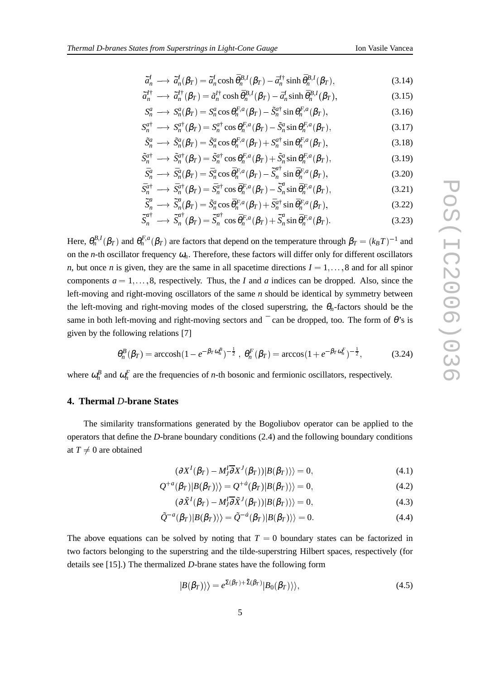$$
\tilde{a}_n^{I\dagger} \longrightarrow \tilde{a}_n^{I\dagger}(\beta_T) = \tilde{a}_n^{I\dagger} \cosh \bar{\theta}_n^{B,I}(\beta_T) - \bar{a}_n^I \sinh \bar{\theta}_n^{B,I}(\beta_T), \tag{3.15}
$$

$$
S_n^a \longrightarrow S_n^a(\beta_T) = S_n^a \cos \theta_n^{F,a}(\beta_T) - \tilde{S}_n^{a\dagger} \sin \theta_n^{F,a}(\beta_T), \tag{3.16}
$$

$$
S_n^{a\dagger} \longrightarrow S_n^{a\dagger}(\beta_T) = S_n^{a\dagger} \cos \theta_n^{F,a}(\beta_T) - \tilde{S}_n^a \sin \theta_n^{F,a}(\beta_T), \tag{3.17}
$$

$$
\tilde{S}_n^a \longrightarrow \tilde{S}_n^a(\beta_T) = \tilde{S}_n^a \cos \theta_n^{F,a}(\beta_T) + S_n^{a\dagger} \sin \theta_n^{F,a}(\beta_T), \tag{3.18}
$$

$$
\tilde{S}_n^{a\dagger} \longrightarrow \tilde{S}_n^{a\dagger}(\beta_T) = \tilde{S}_n^{a\dagger} \cos \theta_n^{F,a}(\beta_T) + \tilde{S}_n^a \sin \theta_n^{F,a}(\beta_T), \tag{3.19}
$$

$$
\bar{S}_n^a \longrightarrow \bar{S}_n^a(\beta_T) = \bar{S}_n^a \cos \bar{\theta}_n^{F,a}(\beta_T) - \tilde{S}_n^{a\dagger} \sin \bar{\theta}_n^{F,a}(\beta_T), \qquad (3.20)
$$

$$
\bar{S}_n^{a\dagger} \longrightarrow \bar{S}_n^{a\dagger}(\beta_T) = \bar{S}_n^{a\dagger} \cos \bar{\theta}_n^{F,a}(\beta_T) - \tilde{\bar{S}}_n^a \sin \bar{\theta}_n^{F,a}(\beta_T), \qquad (3.21)
$$

$$
\tilde{\vec{S}}_n^a \longrightarrow \tilde{\vec{S}}_n^a(\beta_T) = \tilde{S}_n^a \cos \bar{\theta}_n^{F,a}(\beta_T) + \bar{S}_n^{a\dagger} \sin \bar{\theta}_n^{F,a}(\beta_T), \tag{3.22}
$$

$$
\tilde{\bar{S}}_n^{\alpha \dagger} \longrightarrow \tilde{\bar{S}}_n^{\alpha \dagger}(\beta_T) = \tilde{\bar{S}}_n^{\alpha \dagger} \cos \bar{\theta}_n^{F,a}(\beta_T) + \tilde{\bar{S}}_n^a \sin \bar{\theta}_n^{F,a}(\beta_T). \tag{3.23}
$$

Here,  $\theta_n^{B,I}(\beta_T)$  and  $\theta_n^{F,a}(\beta_T)$  are factors that depend on the temperature through  $\beta_T=(k_BT)^{-1}$  and on the *n*-th oscillator frequency  $\omega_n$ . Therefore, these factors will differ only for different oscillators *n*, but once *n* is given, they are the same in all spacetime directions  $I = 1, \ldots, 8$  and for all spinor components  $a = 1, \ldots, 8$ , respectively. Thus, the *I* and *a* indices can be dropped. Also, since the left-moving and right-moving oscillators of the same *n* should be identical by symmetry between the left-moving and right-moving modes of the closed superstring, the  $\theta_n$ -factors should be the same in both left-moving and right-moving sectors and  $\bar{a}$  can be dropped, too. The form of  $\theta$ 's is given by the following relations [7]

$$
\theta_n^B(\beta_T) = \arccosh(1 - e^{-\beta_T \omega_n^B})^{-\frac{1}{2}}, \ \theta_n^F(\beta_T) = \arccos(1 + e^{-\beta_T \omega_n^F})^{-\frac{1}{2}}, \tag{3.24}
$$

where  $\omega_n^B$  and  $\omega_n^F$  are the frequencies of *n*-th bosonic and fermionic oscillators, respectively.

# **4. Thermal** *D***-brane States**

The similarity transformations generated by the Bogoliubov operator can be applied to the operators that define the *D*-brane boundary conditions (2.4) and the following boundary conditions at  $T \neq 0$  are obtained

$$
(\partial X^{I}(\beta_{T}) - M_{J}^{I}\overline{\partial}X^{J}(\beta_{T}))|B(\beta_{T})\rangle = 0,
$$
\n(4.1)

$$
Q^{+a}(\beta_T)|B(\beta_T)\rangle = Q^{+a}(\beta_T)|B(\beta_T)\rangle = 0,
$$
\n(4.2)

$$
(\partial \tilde{X}^{I}(\beta_{T}) - M_{J}^{I} \overline{\partial} \tilde{X}^{J}(\beta_{T}))|B(\beta_{T})\rangle = 0,
$$
\n(4.3)

$$
\tilde{Q}^{-a}(\beta_T)|B(\beta_T)\rangle\rangle = \tilde{Q}^{-a}(\beta_T)|B(\beta_T)\rangle\rangle = 0.
$$
\n(4.4)

The above equations can be solved by noting that  $T = 0$  boundary states can be factorized in two factors belonging to the superstring and the tilde-superstring Hilbert spaces, respectively (for details see [15].) The thermalized *D*-brane states have the following form

$$
|B(\beta_T)\rangle\rangle = e^{\Sigma(\beta_T) + \tilde{\Sigma}(\beta_T)}|B_0(\beta_T)\rangle\rangle,
$$
\n(4.5)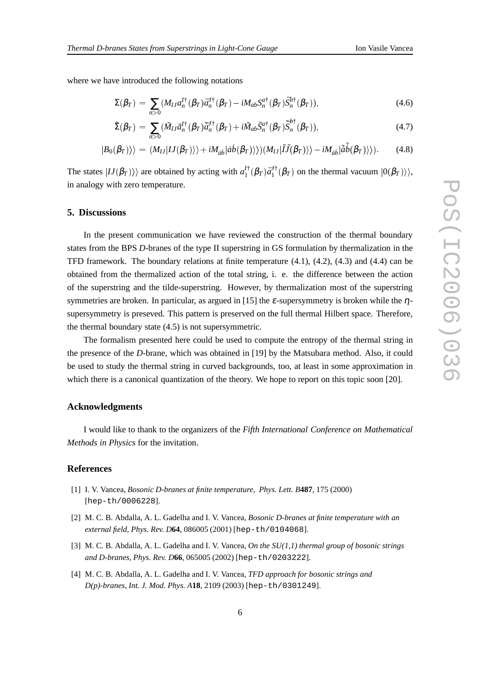where we have introduced the following notations

$$
\Sigma(\beta_T) = \sum_{n>0} (M_{IJ} a_n^{I\dagger}(\beta_T) \bar{a}_n^{J\dagger}(\beta_T) - i M_{ab} S_n^{a\dagger}(\beta_T) \bar{S}_n^{b\dagger}(\beta_T)), \qquad (4.6)
$$

$$
\tilde{\Sigma}(\beta_T) = \sum_{n>0} (\tilde{M}_{IJ}\tilde{a}_n^{I\dagger}(\beta_T)\tilde{\bar{a}}_n^{J\dagger}(\beta_T) + i\tilde{M}_{ab}\tilde{S}_n^{a\dagger}(\beta_T)\tilde{\bar{S}}_n^{b\dagger}(\beta_T)),
$$
\n(4.7)

$$
|B_0(\beta_T)\rangle\rangle = (M_{IJ}|IJ(\beta_T)\rangle\rangle + iM_{\dot{a}\dot{b}}|\dot{a}\dot{b}(\beta_T)\rangle\rangle)(M_{IJ}|\tilde{I}\tilde{J}(\beta_T)\rangle\rangle - iM_{\dot{a}\dot{b}}|\tilde{\dot{a}}\tilde{\dot{b}}(\beta_T)\rangle\rangle).
$$
(4.8)

The states  $|IJ(\beta_T)\rangle$  are obtained by acting with  $a_1^{I\dagger}$  $J_1^{\dagger}(\beta_T) \bar{a}_1^{J \dagger}$  $\int_1^{J_{\tau}(\beta_T)}$  on the thermal vacuum  $|0(\beta_T)\rangle$ , in analogy with zero temperature.

#### **5. Discussions**

In the present communication we have reviewed the construction of the thermal boundary states from the BPS *D*-branes of the type II superstring in GS formulation by thermalization in the TFD framework. The boundary relations at finite temperature (4.1), (4.2), (4.3) and (4.4) can be obtained from the thermalized action of the total string, i. e. the difference between the action of the superstring and the tilde-superstring. However, by thermalization most of the superstring symmetries are broken. In particular, as argued in [15] the  $\varepsilon$ -supersymmetry is broken while the  $\eta$ supersymmetry is preseved. This pattern is preserved on the full thermal Hilbert space. Therefore, the thermal boundary state (4.5) is not supersymmetric.

The formalism presented here could be used to compute the entropy of the thermal string in the presence of the *D*-brane, which was obtained in [19] by the Matsubara method. Also, it could be used to study the thermal string in curved backgrounds, too, at least in some approximation in which there is a canonical quantization of the theory. We hope to report on this topic soon [20].

#### **Acknowledgments**

I would like to thank to the organizers of the *Fifth International Conference on Mathematical Methods in Physics* for the invitation.

#### **References**

- [1] I. V. Vancea, *Bosonic D-branes at finite temperature*, *Phys. Lett. B***487**, 175 (2000) [hep-th/0006228].
- [2] M. C. B. Abdalla, A. L. Gadelha and I. V. Vancea, *Bosonic D-branes at finite temperature with an external field*, *Phys. Rev. D***64**, 086005 (2001) [hep-th/0104068].
- [3] M. C. B. Abdalla, A. L. Gadelha and I. V. Vancea, *On the SU(1,1) thermal group of bosonic strings and D-branes*, *Phys. Rev. D***66**, 065005 (2002) [hep-th/0203222].
- [4] M. C. B. Abdalla, A. L. Gadelha and I. V. Vancea, *TFD approach for bosonic strings and D(p)-branes*, *Int. J. Mod. Phys. A***18**, 2109 (2003) [hep-th/0301249].